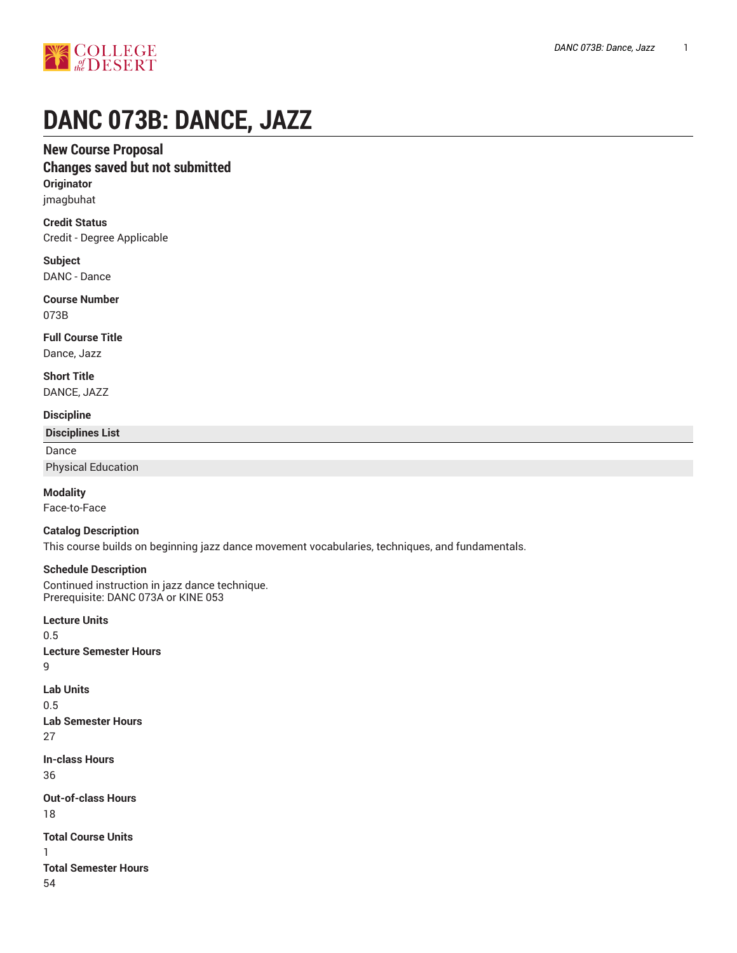

# **DANC 073B: DANCE, JAZZ**

## **New Course Proposal**

## **Changes saved but not submitted**

**Originator** jmagbuhat

**Credit Status** Credit - Degree Applicable

**Subject** DANC - Dance

**Course Number** 073B

**Full Course Title** Dance, Jazz

**Short Title** DANCE, JAZZ

#### **Discipline**

**Disciplines List**

Dance

Physical Education

**Modality**

Face-to-Face

#### **Catalog Description**

This course builds on beginning jazz dance movement vocabularies, techniques, and fundamentals.

#### **Schedule Description**

Continued instruction in jazz dance technique. Prerequisite: DANC 073A or KINE 053

**Lecture Units** 0.5 **Lecture Semester Hours** 9 **Lab Units** 0.5 **Lab Semester Hours** 27 **In-class Hours** 36 **Out-of-class Hours** 18 **Total Course Units** 1 **Total Semester Hours** 54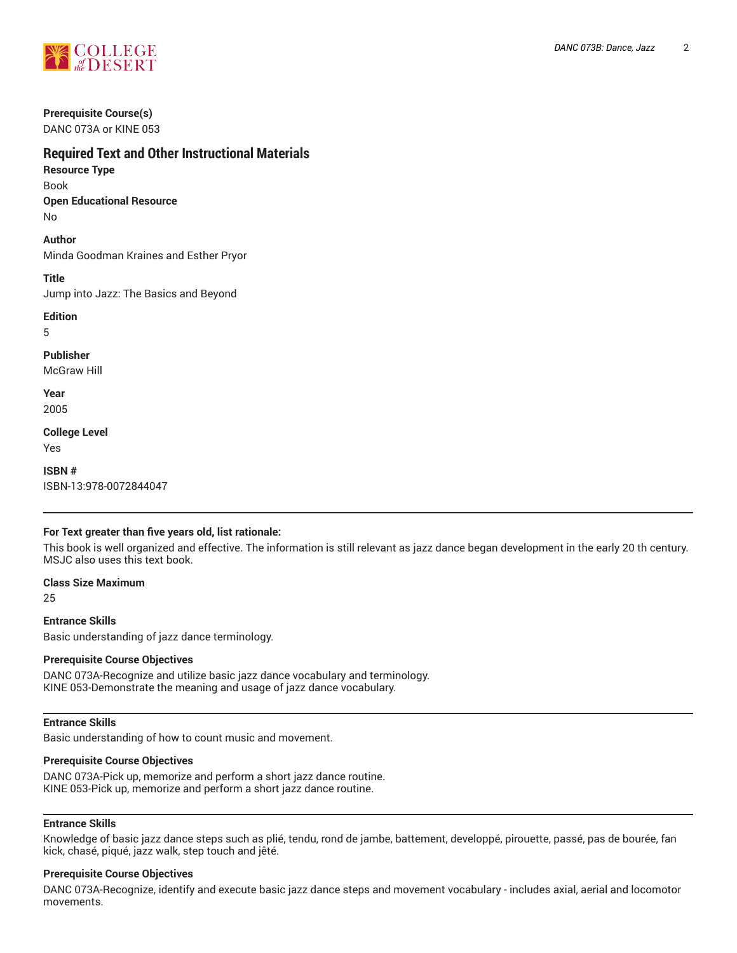

## **Prerequisite Course(s)**

DANC 073A or KINE 053

# **Required Text and Other Instructional Materials**

**Resource Type** Book

**Open Educational Resource**

No

**Author**

Minda Goodman Kraines and Esther Pryor

**Title**

Jump into Jazz: The Basics and Beyond

**Edition**

5

**Publisher** McGraw Hill

**Year**

2005

**College Level**

Yes

**ISBN #** ISBN-13:978-0072844047

#### **For Text greater than five years old, list rationale:**

This book is well organized and effective. The information is still relevant as jazz dance began development in the early 20 th century. MSJC also uses this text book.

**Class Size Maximum** 25

**Entrance Skills**

Basic understanding of jazz dance terminology.

#### **Prerequisite Course Objectives**

DANC 073A-Recognize and utilize basic jazz dance vocabulary and terminology. KINE 053-Demonstrate the meaning and usage of jazz dance vocabulary.

#### **Entrance Skills**

Basic understanding of how to count music and movement.

#### **Prerequisite Course Objectives**

DANC 073A-Pick up, memorize and perform a short jazz dance routine. KINE 053-Pick up, memorize and perform a short jazz dance routine.

#### **Entrance Skills**

Knowledge of basic jazz dance steps such as plié, tendu, rond de jambe, battement, developpé, pirouette, passé, pas de bourée, fan kick, chasé, piqué, jazz walk, step touch and jêté.

#### **Prerequisite Course Objectives**

DANC 073A-Recognize, identify and execute basic jazz dance steps and movement vocabulary - includes axial, aerial and locomotor movements.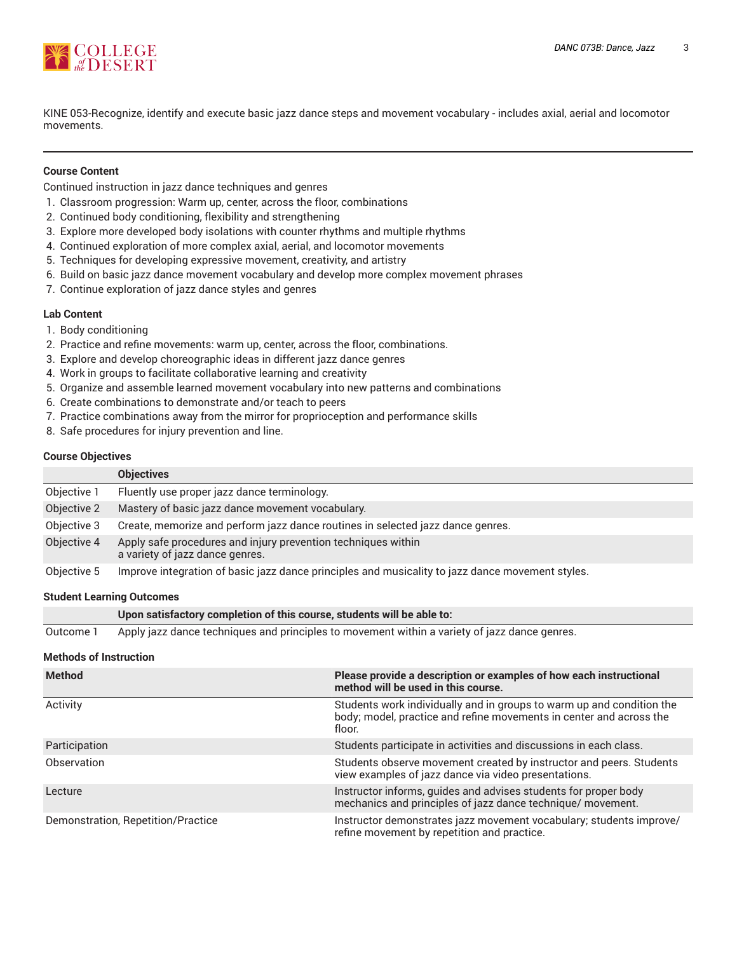

KINE 053-Recognize, identify and execute basic jazz dance steps and movement vocabulary - includes axial, aerial and locomotor movements.

#### **Course Content**

Continued instruction in jazz dance techniques and genres

- 1. Classroom progression: Warm up, center, across the floor, combinations
- 2. Continued body conditioning, flexibility and strengthening
- 3. Explore more developed body isolations with counter rhythms and multiple rhythms
- 4. Continued exploration of more complex axial, aerial, and locomotor movements
- 5. Techniques for developing expressive movement, creativity, and artistry
- 6. Build on basic jazz dance movement vocabulary and develop more complex movement phrases
- 7. Continue exploration of jazz dance styles and genres

#### **Lab Content**

- 1. Body conditioning
- 2. Practice and refine movements: warm up, center, across the floor, combinations.
- 3. Explore and develop choreographic ideas in different jazz dance genres
- 4. Work in groups to facilitate collaborative learning and creativity
- 5. Organize and assemble learned movement vocabulary into new patterns and combinations
- 6. Create combinations to demonstrate and/or teach to peers
- 7. Practice combinations away from the mirror for proprioception and performance skills
- 8. Safe procedures for injury prevention and line.

#### **Course Objectives**

|             | <b>Objectives</b>                                                                                |
|-------------|--------------------------------------------------------------------------------------------------|
| Objective 1 | Fluently use proper jazz dance terminology.                                                      |
| Objective 2 | Mastery of basic jazz dance movement vocabulary.                                                 |
| Objective 3 | Create, memorize and perform jazz dance routines in selected jazz dance genres.                  |
| Objective 4 | Apply safe procedures and injury prevention techniques within<br>a variety of jazz dance genres. |
| Objective 5 | Improve integration of basic jazz dance principles and musicality to jazz dance movement styles. |

#### **Student Learning Outcomes**

|           | Upon satisfactory completion of this course, students will be able to:                        |
|-----------|-----------------------------------------------------------------------------------------------|
| Outcome 1 | Apply jazz dance techniques and principles to movement within a variety of jazz dance genres. |

#### **Methods of Instruction**

| <b>Method</b>                      | Please provide a description or examples of how each instructional<br>method will be used in this course.                                              |
|------------------------------------|--------------------------------------------------------------------------------------------------------------------------------------------------------|
| Activity                           | Students work individually and in groups to warm up and condition the<br>body; model, practice and refine movements in center and across the<br>floor. |
| Participation                      | Students participate in activities and discussions in each class.                                                                                      |
| Observation                        | Students observe movement created by instructor and peers. Students<br>view examples of jazz dance via video presentations.                            |
| Lecture                            | Instructor informs, guides and advises students for proper body<br>mechanics and principles of jazz dance technique/ movement.                         |
| Demonstration, Repetition/Practice | Instructor demonstrates jazz movement vocabulary; students improve/<br>refine movement by repetition and practice.                                     |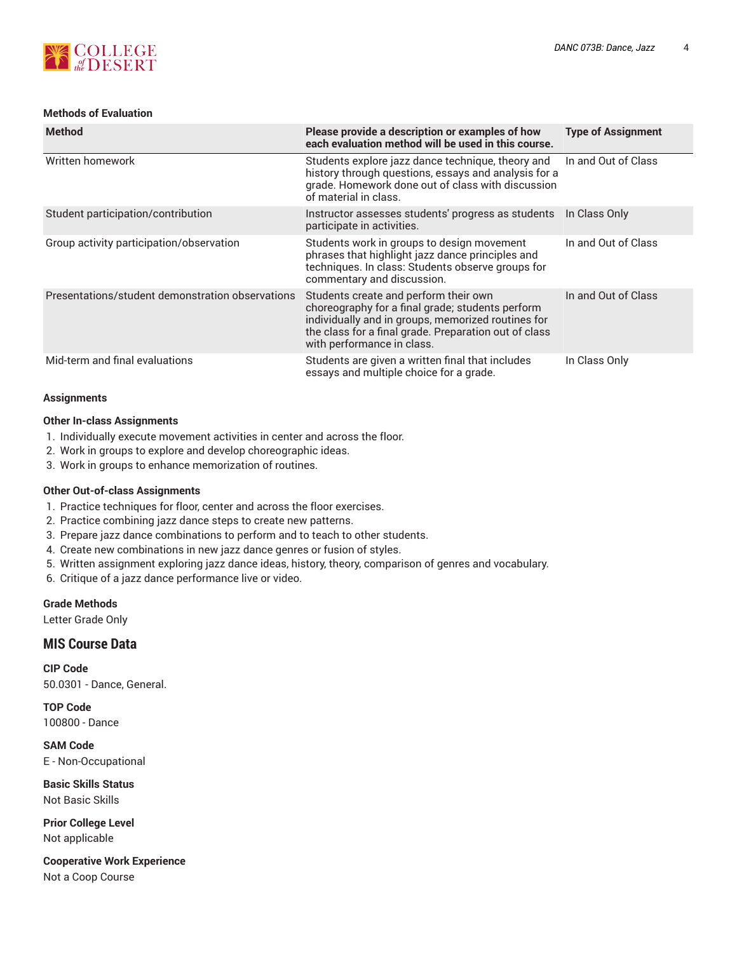

#### **Methods of Evaluation**

| <b>Method</b>                                    | Please provide a description or examples of how<br>each evaluation method will be used in this course.                                                                                                                                 | <b>Type of Assignment</b> |
|--------------------------------------------------|----------------------------------------------------------------------------------------------------------------------------------------------------------------------------------------------------------------------------------------|---------------------------|
| Written homework                                 | Students explore jazz dance technique, theory and<br>history through questions, essays and analysis for a<br>grade. Homework done out of class with discussion<br>of material in class.                                                | In and Out of Class       |
| Student participation/contribution               | Instructor assesses students' progress as students<br>participate in activities.                                                                                                                                                       | In Class Only             |
| Group activity participation/observation         | Students work in groups to design movement<br>phrases that highlight jazz dance principles and<br>techniques. In class: Students observe groups for<br>commentary and discussion.                                                      | In and Out of Class       |
| Presentations/student demonstration observations | Students create and perform their own<br>choreography for a final grade; students perform<br>individually and in groups, memorized routines for<br>the class for a final grade. Preparation out of class<br>with performance in class. | In and Out of Class       |
| Mid-term and final evaluations                   | Students are given a written final that includes<br>essays and multiple choice for a grade.                                                                                                                                            | In Class Only             |

#### **Assignments**

#### **Other In-class Assignments**

- 1. Individually execute movement activities in center and across the floor.
- 2. Work in groups to explore and develop choreographic ideas.
- 3. Work in groups to enhance memorization of routines.

#### **Other Out-of-class Assignments**

- 1. Practice techniques for floor, center and across the floor exercises.
- 2. Practice combining jazz dance steps to create new patterns.
- 3. Prepare jazz dance combinations to perform and to teach to other students.
- 4. Create new combinations in new jazz dance genres or fusion of styles.
- 5. Written assignment exploring jazz dance ideas, history, theory, comparison of genres and vocabulary.
- 6. Critique of a jazz dance performance live or video.

#### **Grade Methods**

Letter Grade Only

## **MIS Course Data**

**CIP Code** 50.0301 - Dance, General.

**TOP Code** 100800 - Dance

**SAM Code** E - Non-Occupational

**Basic Skills Status** Not Basic Skills

**Prior College Level** Not applicable

**Cooperative Work Experience** Not a Coop Course